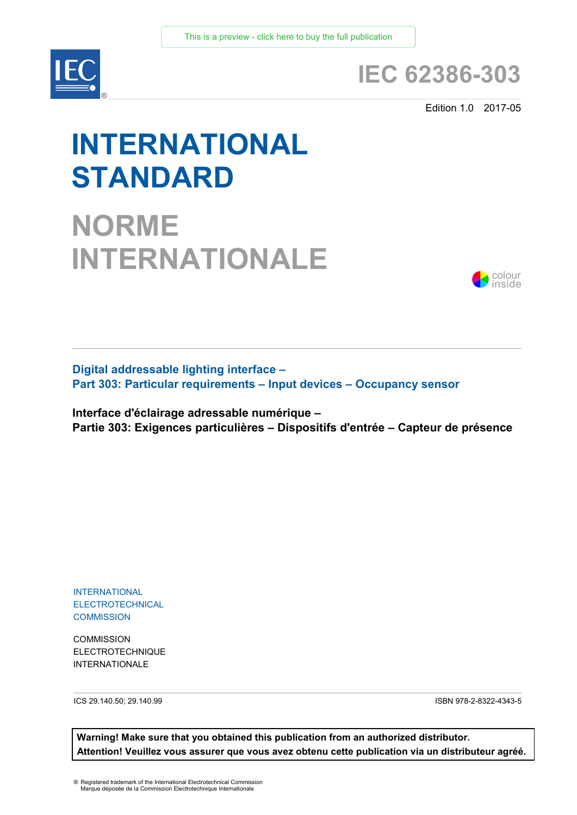

## **IEC 62386-303**

Edition 1.0 2017-05

# **INTERNATIONAL STANDARD**

**NORME INTERNATIONALE**



**Digital addressable lighting interface – Part 303: Particular requirements – Input devices – Occupancy sensor**

**Interface d'éclairage adressable numérique – Partie 303: Exigences particulières – Dispositifs d'entrée – Capteur de présence**

INTERNATIONAL **ELECTROTECHNICAL COMMISSION** 

**COMMISSION** ELECTROTECHNIQUE INTERNATIONALE

ICS 29.140.50; 29.140.99 ISBN 978-2-8322-4343-5

**Warning! Make sure that you obtained this publication from an authorized distributor. Attention! Veuillez vous assurer que vous avez obtenu cette publication via un distributeur agréé.**

® Registered trademark of the International Electrotechnical Commission Marque déposée de la Commission Electrotechnique Internationale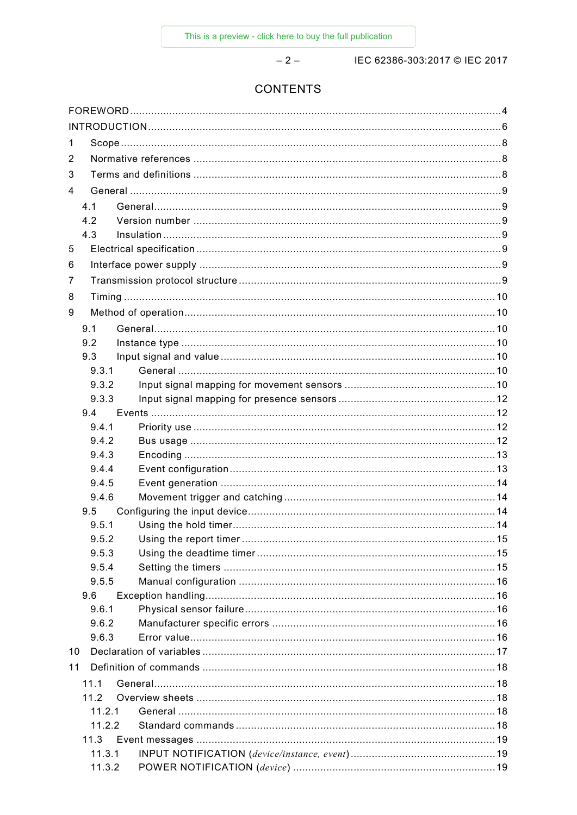$-2-$ 

IEC 62386-303:2017 © IEC 2017

### **CONTENTS**

| 1  |              |  |  |
|----|--------------|--|--|
| 2  |              |  |  |
| 3  |              |  |  |
| 4  |              |  |  |
|    | 4.1          |  |  |
|    | 4.2          |  |  |
|    | 4.3          |  |  |
| 5  |              |  |  |
| 6  |              |  |  |
| 7  |              |  |  |
| 8  |              |  |  |
|    |              |  |  |
| 9  |              |  |  |
|    | 9.1          |  |  |
|    | 9.2          |  |  |
|    | 9.3<br>9.3.1 |  |  |
|    | 9.3.2        |  |  |
|    | 9.3.3        |  |  |
|    | 9.4          |  |  |
|    | 9.4.1        |  |  |
|    | 9.4.2        |  |  |
|    | 9.4.3        |  |  |
|    | 9.4.4        |  |  |
|    | 9.4.5        |  |  |
|    | 9.4.6        |  |  |
|    | 9.5          |  |  |
|    | 9.5.1        |  |  |
|    | 9.5.2        |  |  |
|    | 9.5.3        |  |  |
|    | 9.5.4        |  |  |
|    | 9.5.5        |  |  |
|    | 9.6          |  |  |
|    | 9.6.1        |  |  |
|    | 9.6.2        |  |  |
|    | 9.6.3        |  |  |
| 10 |              |  |  |
| 11 |              |  |  |
|    | 11.1         |  |  |
|    | 11.2         |  |  |
|    | 11.2.1       |  |  |
|    | 11.2.2       |  |  |
|    | 11.3         |  |  |
|    | 11.3.1       |  |  |
|    | 11.3.2       |  |  |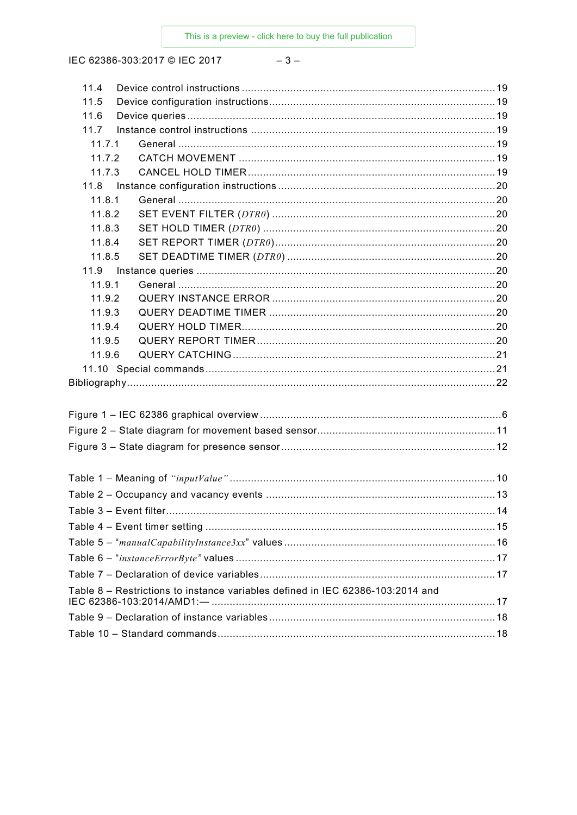IEC 62386-303:2017 © IEC 2017

#### $-3-$

| 11.4   |                                                                                  |  |
|--------|----------------------------------------------------------------------------------|--|
| 11.5   |                                                                                  |  |
| 11.6   |                                                                                  |  |
| 11.7   |                                                                                  |  |
| 11.7.1 |                                                                                  |  |
| 11.7.2 |                                                                                  |  |
| 11.7.3 |                                                                                  |  |
| 11.8   |                                                                                  |  |
| 11.8.1 |                                                                                  |  |
| 11.8.2 |                                                                                  |  |
| 11.8.3 |                                                                                  |  |
| 11.8.4 |                                                                                  |  |
| 11.8.5 |                                                                                  |  |
|        |                                                                                  |  |
| 11.9.1 |                                                                                  |  |
| 11.9.2 |                                                                                  |  |
| 11.9.3 |                                                                                  |  |
| 11.9.4 |                                                                                  |  |
| 11.9.5 |                                                                                  |  |
| 11.9.6 |                                                                                  |  |
|        |                                                                                  |  |
|        |                                                                                  |  |
|        |                                                                                  |  |
|        |                                                                                  |  |
|        |                                                                                  |  |
|        | Figure 3 – State diagram for presence sensor………………………………………………………………………12        |  |
|        |                                                                                  |  |
|        |                                                                                  |  |
|        |                                                                                  |  |
|        |                                                                                  |  |
|        |                                                                                  |  |
|        |                                                                                  |  |
|        | Table 6 – " <i>instanceErrorByte"</i> values ………………………………………………………………………………………17 |  |
|        |                                                                                  |  |
|        |                                                                                  |  |
|        | Table 8 - Restrictions to instance variables defined in IEC 62386-103:2014 and   |  |
|        |                                                                                  |  |
|        |                                                                                  |  |
|        |                                                                                  |  |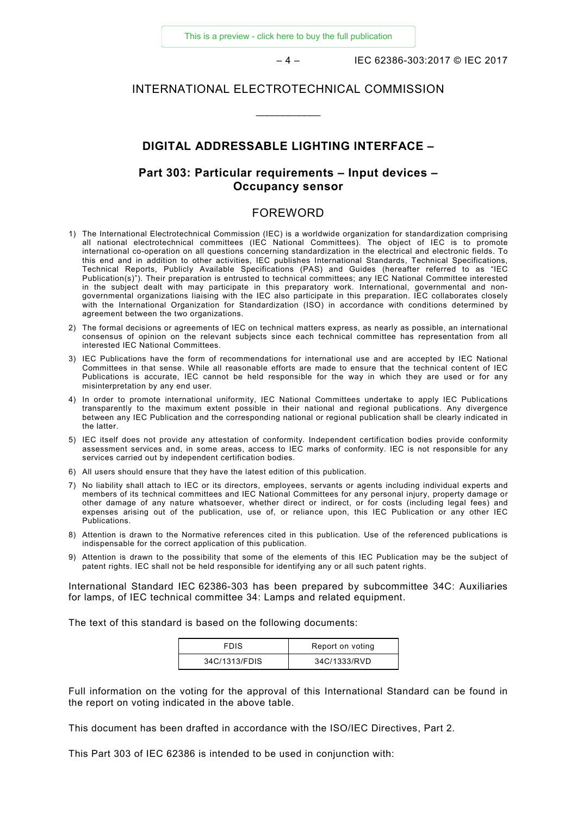[This is a preview - click here to buy the full publication](https://webstore.iec.ch/publication/34288&preview=1)

– 4 – IEC 62386-303:2017 © IEC 2017

#### INTERNATIONAL ELECTROTECHNICAL COMMISSION

\_\_\_\_\_\_\_\_\_\_\_\_

#### **DIGITAL ADDRESSABLE LIGHTING INTERFACE –**

#### **Part 303: Particular requirements – Input devices – Occupancy sensor**

#### FOREWORD

- <span id="page-3-0"></span>1) The International Electrotechnical Commission (IEC) is a worldwide organization for standardization comprising all national electrotechnical committees (IEC National Committees). The object of IEC is to promote international co-operation on all questions concerning standardization in the electrical and electronic fields. To this end and in addition to other activities, IEC publishes International Standards, Technical Specifications, Technical Reports, Publicly Available Specifications (PAS) and Guides (hereafter referred to as "IEC Publication(s)"). Their preparation is entrusted to technical committees; any IEC National Committee interested in the subject dealt with may participate in this preparatory work. International, governmental and nongovernmental organizations liaising with the IEC also participate in this preparation. IEC collaborates closely with the International Organization for Standardization (ISO) in accordance with conditions determined by agreement between the two organizations.
- 2) The formal decisions or agreements of IEC on technical matters express, as nearly as possible, an international consensus of opinion on the relevant subjects since each technical committee has representation from all interested IEC National Committees.
- 3) IEC Publications have the form of recommendations for international use and are accepted by IEC National Committees in that sense. While all reasonable efforts are made to ensure that the technical content of IEC Publications is accurate, IEC cannot be held responsible for the way in which they are used or for any misinterpretation by any end user.
- 4) In order to promote international uniformity, IEC National Committees undertake to apply IEC Publications transparently to the maximum extent possible in their national and regional publications. Any divergence between any IEC Publication and the corresponding national or regional publication shall be clearly indicated in the latter.
- 5) IEC itself does not provide any attestation of conformity. Independent certification bodies provide conformity assessment services and, in some areas, access to IEC marks of conformity. IEC is not responsible for any services carried out by independent certification bodies.
- 6) All users should ensure that they have the latest edition of this publication.
- 7) No liability shall attach to IEC or its directors, employees, servants or agents including individual experts and members of its technical committees and IEC National Committees for any personal injury, property damage or other damage of any nature whatsoever, whether direct or indirect, or for costs (including legal fees) and expenses arising out of the publication, use of, or reliance upon, this IEC Publication or any other IEC Publications.
- 8) Attention is drawn to the Normative references cited in this publication. Use of the referenced publications is indispensable for the correct application of this publication.
- 9) Attention is drawn to the possibility that some of the elements of this IEC Publication may be the subject of patent rights. IEC shall not be held responsible for identifying any or all such patent rights.

International Standard IEC 62386-303 has been prepared by subcommittee 34C: Auxiliaries for lamps, of IEC technical committee 34: Lamps and related equipment.

The text of this standard is based on the following documents:

| <b>FDIS</b>   | Report on voting |
|---------------|------------------|
| 34C/1313/FDIS | 34C/1333/RVD     |

Full information on the voting for the approval of this International Standard can be found in the report on voting indicated in the above table.

This document has been drafted in accordance with the ISO/IEC Directives, Part 2.

This Part 303 of IEC 62386 is intended to be used in conjunction with: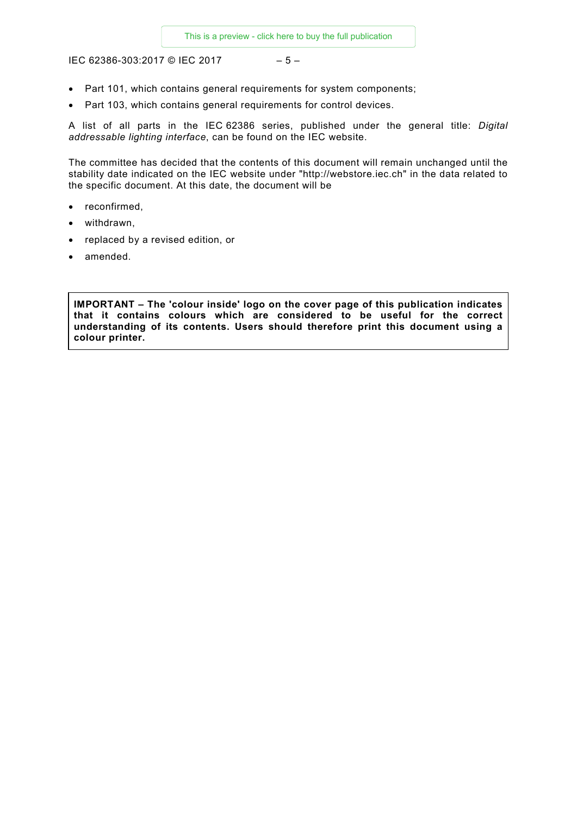IEC 62386-303:2017 © IEC 2017 – 5 –

- Part 101, which contains general requirements for system components;
- Part 103, which contains general requirements for control devices.

A list of all parts in the IEC 62386 series, published under the general title: *Digital addressable lighting interface*, can be found on the IEC website.

The committee has decided that the contents of this document will remain unchanged until the stability date indicated on the IEC website under "http://webstore.iec.ch" in the data related to the specific document. At this date, the document will be

- reconfirmed,
- withdrawn,
- replaced by a revised edition, or
- amended.

**IMPORTANT – The 'colour inside' logo on the cover page of this publication indicates that it contains colours which are considered to be useful for the correct understanding of its contents. Users should therefore print this document using a colour printer.**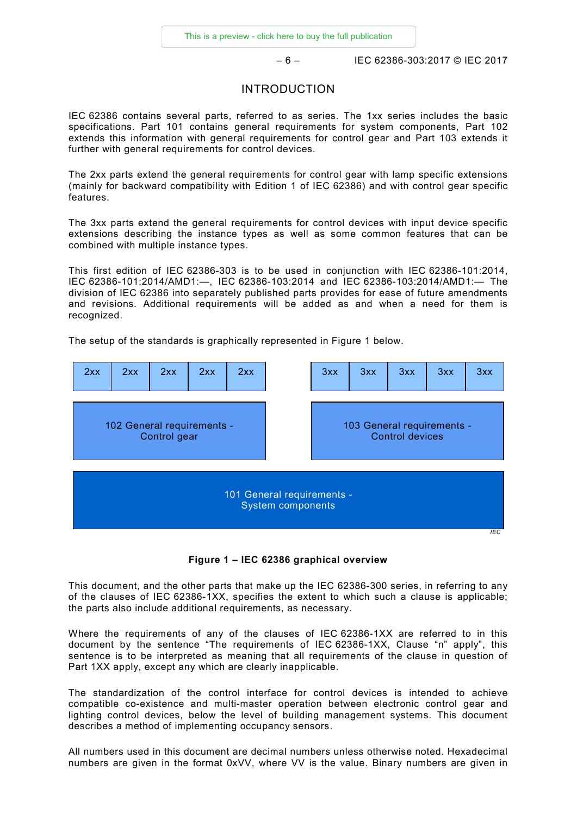$-6 -$  IEC 62386-303:2017 © IEC 2017

#### INTRODUCTION

<span id="page-5-0"></span>IEC 62386 contains several parts, referred to as series. The 1xx series includes the basic specifications. Part 101 contains general requirements for system components, Part 102 extends this information with general requirements for control gear and Part 103 extends it further with general requirements for control devices.

The 2xx parts extend the general requirements for control gear with lamp specific extensions (mainly for backward compatibility with Edition 1 of IEC 62386) and with control gear specific features.

The 3xx parts extend the general requirements for control devices with input device specific extensions describing the instance types as well as some common features that can be combined with multiple instance types.

This first edition of IEC 62386-303 is to be used in conjunction with IEC 62386-101:2014, IEC 62386-101:2014/AMD1:—, IEC 62386-103:2014 and IEC 62386-103:2014/AMD1:— The division of IEC 62386 into separately published parts provides for ease of future amendments and revisions. Additional requirements will be added as and when a need for them is recognized.

The setup of the standards is graphically represented in [Figure 1](#page-5-1) below.



**Figure 1 – IEC 62386 graphical overview**

<span id="page-5-1"></span>This document, and the other parts that make up the IEC 62386-300 series, in referring to any of the clauses of IEC 62386-1XX, specifies the extent to which such a clause is applicable; the parts also include additional requirements, as necessary.

Where the requirements of any of the clauses of IEC 62386-1XX are referred to in this document by the sentence "The requirements of IEC 62386-1XX, Clause "n" apply", this sentence is to be interpreted as meaning that all requirements of the clause in question of Part 1XX apply, except any which are clearly inapplicable.

The standardization of the control interface for control devices is intended to achieve compatible co-existence and multi-master operation between electronic control gear and lighting control devices, below the level of building management systems. This document describes a method of implementing occupancy sensors.

All numbers used in this document are decimal numbers unless otherwise noted. Hexadecimal numbers are given in the format 0xVV, where VV is the value. Binary numbers are given in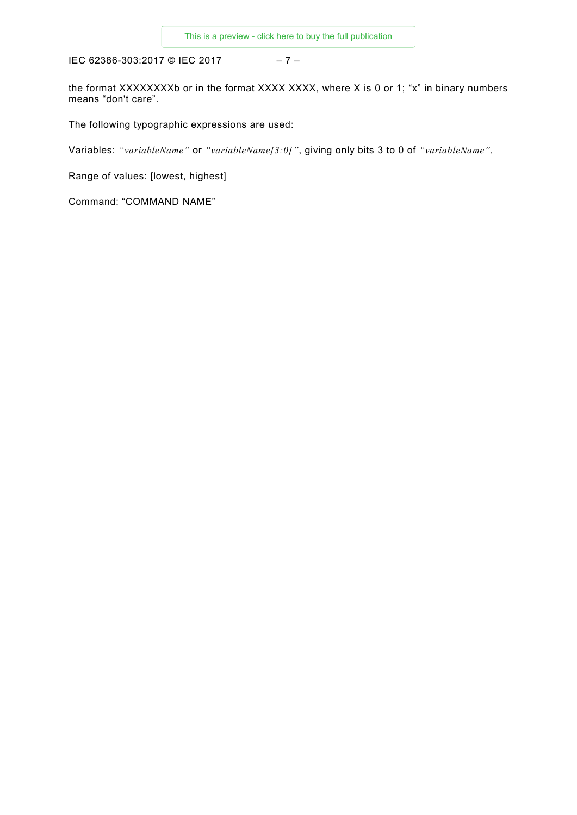IEC 62386-303:2017 © IEC 2017 – 7 –

the format XXXXXXXXb or in the format XXXX XXXX, where X is 0 or 1; "x" in binary numbers means "don't care".

The following typographic expressions are used:

Variables: *"variableName"* or *"variableName[3:0]"*, giving only bits 3 to 0 of *"variableName"*.

Range of values: [lowest, highest]

Command: "COMMAND NAME"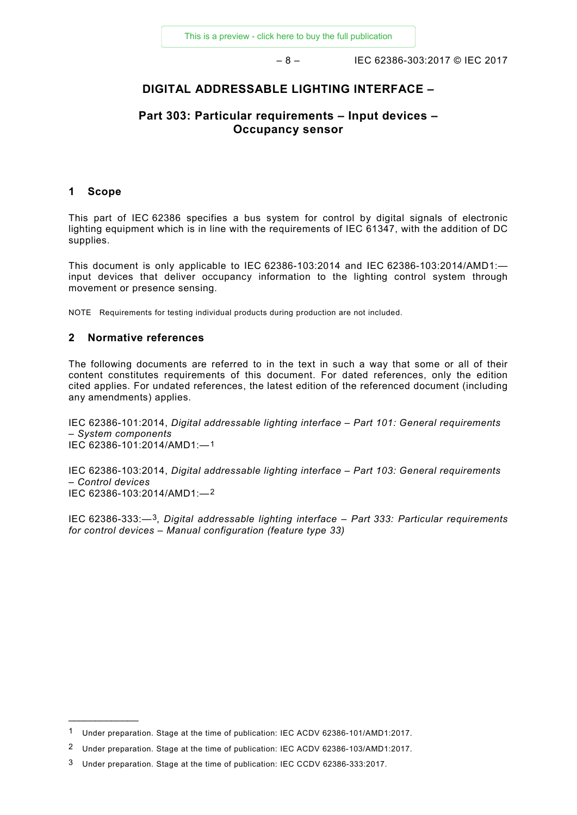– 8 – IEC 62386-303:2017 © IEC 2017

#### **DIGITAL ADDRESSABLE LIGHTING INTERFACE –**

#### **Part 303: Particular requirements – Input devices – Occupancy sensor**

#### <span id="page-7-0"></span>**1 Scope**

This part of IEC 62386 specifies a bus system for control by digital signals of electronic lighting equipment which is in line with the requirements of IEC 61347, with the addition of DC supplies.

This document is only applicable to IEC 62386-103:2014 and IEC 62386-103:2014/AMD1: input devices that deliver occupancy information to the lighting control system through movement or presence sensing.

NOTE Requirements for testing individual products during production are not included.

#### <span id="page-7-1"></span>**2 Normative references**

\_\_\_\_\_\_\_\_\_\_\_\_\_

The following documents are referred to in the text in such a way that some or all of their content constitutes requirements of this document. For dated references, only the edition cited applies. For undated references, the latest edition of the referenced document (including any amendments) applies.

IEC 62386-101:2014, *Digital addressable lighting interface – Part 101: General requirements – System components* IEC 62386-101:2014/AMD1:—[1](#page-7-3)

IEC 62386-103:2014, *Digital addressable lighting interface – Part 103: General requirements – Control devices* IEC 62386-103:2014/AMD1:—[2](#page-7-4)

<span id="page-7-2"></span>IEC 62386-333:—[3,](#page-7-5) *Digital addressable lighting interface – Part 333: Particular requirements for control devices – Manual configuration (feature type 33)*

<span id="page-7-3"></span><sup>1</sup> Under preparation. Stage at the time of publication: IEC ACDV 62386-101/AMD1:2017.

<span id="page-7-4"></span><sup>2</sup> Under preparation. Stage at the time of publication: IEC ACDV 62386-103/AMD1:2017.

<span id="page-7-5"></span><sup>3</sup> Under preparation. Stage at the time of publication: IEC CCDV 62386-333:2017.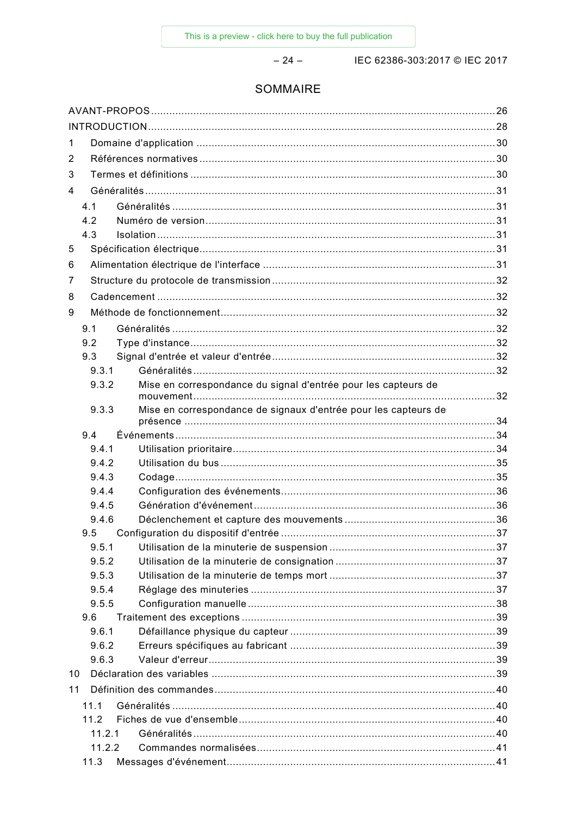$-24-$ 

IEC 62386-303:2017 © IEC 2017

#### SOMMAIRE

| 1              |              |                                                                 |  |
|----------------|--------------|-----------------------------------------------------------------|--|
| $\overline{2}$ |              |                                                                 |  |
| 3              |              |                                                                 |  |
| 4              |              |                                                                 |  |
|                | 4.1          |                                                                 |  |
|                | 4.2          |                                                                 |  |
|                | 4.3          |                                                                 |  |
| 5              |              |                                                                 |  |
| 6              |              |                                                                 |  |
| 7              |              |                                                                 |  |
| 8              |              |                                                                 |  |
| 9              |              |                                                                 |  |
|                | 9.1          |                                                                 |  |
|                | 9.2          |                                                                 |  |
|                | 9.3          |                                                                 |  |
|                | 9.3.1        |                                                                 |  |
|                | 9.3.2        | Mise en correspondance du signal d'entrée pour les capteurs de  |  |
|                |              |                                                                 |  |
|                | 9.3.3        | Mise en correspondance de signaux d'entrée pour les capteurs de |  |
|                | 9.4          |                                                                 |  |
|                | 9.4.1        |                                                                 |  |
|                | 9.4.2        |                                                                 |  |
|                | 9.4.3        |                                                                 |  |
|                | 9.4.4        |                                                                 |  |
|                |              |                                                                 |  |
|                | 9.4.5        |                                                                 |  |
|                | 9.4.6        |                                                                 |  |
|                | 9.5          |                                                                 |  |
|                | 9.5.1        |                                                                 |  |
|                | 9.5.2        |                                                                 |  |
|                | 9.5.3        |                                                                 |  |
|                | 9.5.4        |                                                                 |  |
|                | 9.5.5        |                                                                 |  |
|                | 9.6          |                                                                 |  |
|                | 9.6.1        |                                                                 |  |
|                | 9.6.2        |                                                                 |  |
| 10             | 9.6.3        |                                                                 |  |
| 11             |              |                                                                 |  |
|                |              |                                                                 |  |
|                | 11.1<br>11.2 |                                                                 |  |
|                | 11.2.1       |                                                                 |  |
|                | 11.2.2       |                                                                 |  |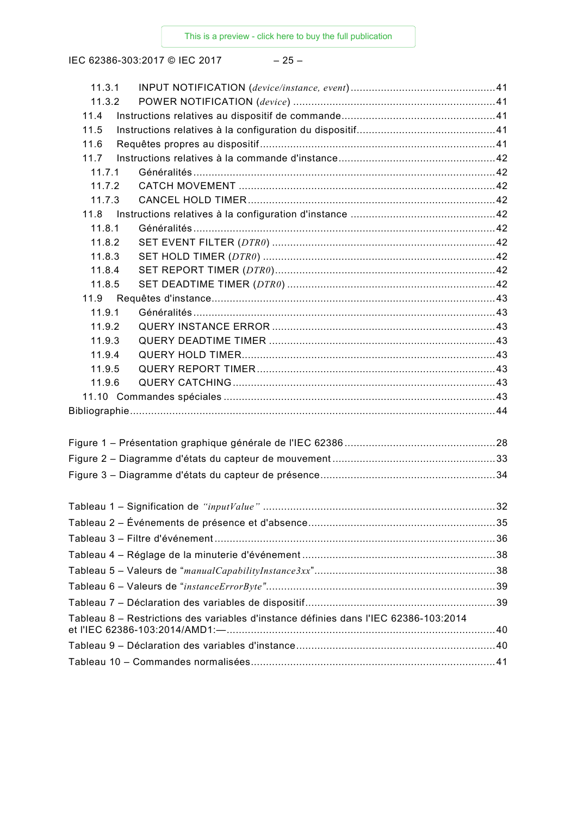IEC 62386-303:2017 © IEC 2017 – 25 –

| 11.3.1 |                                                                                      |  |
|--------|--------------------------------------------------------------------------------------|--|
| 11.3.2 |                                                                                      |  |
| 11.4   |                                                                                      |  |
| 11.5   |                                                                                      |  |
| 11.6   |                                                                                      |  |
| 11.7   |                                                                                      |  |
| 11.7.1 |                                                                                      |  |
| 11.7.2 |                                                                                      |  |
| 11.7.3 |                                                                                      |  |
| 11.8   |                                                                                      |  |
| 11.8.1 |                                                                                      |  |
| 11.8.2 |                                                                                      |  |
| 11.8.3 |                                                                                      |  |
| 11.8.4 |                                                                                      |  |
| 11.8.5 |                                                                                      |  |
| 11.9   |                                                                                      |  |
| 11.9.1 |                                                                                      |  |
| 11.9.2 |                                                                                      |  |
| 11.9.3 |                                                                                      |  |
| 11.9.4 |                                                                                      |  |
| 11.9.5 |                                                                                      |  |
| 11.9.6 |                                                                                      |  |
|        |                                                                                      |  |
|        |                                                                                      |  |
|        |                                                                                      |  |
|        |                                                                                      |  |
|        |                                                                                      |  |
|        |                                                                                      |  |
|        |                                                                                      |  |
|        |                                                                                      |  |
|        |                                                                                      |  |
|        |                                                                                      |  |
|        |                                                                                      |  |
|        |                                                                                      |  |
|        |                                                                                      |  |
|        | Tableau 8 - Restrictions des variables d'instance définies dans l'IEC 62386-103:2014 |  |
|        |                                                                                      |  |
|        |                                                                                      |  |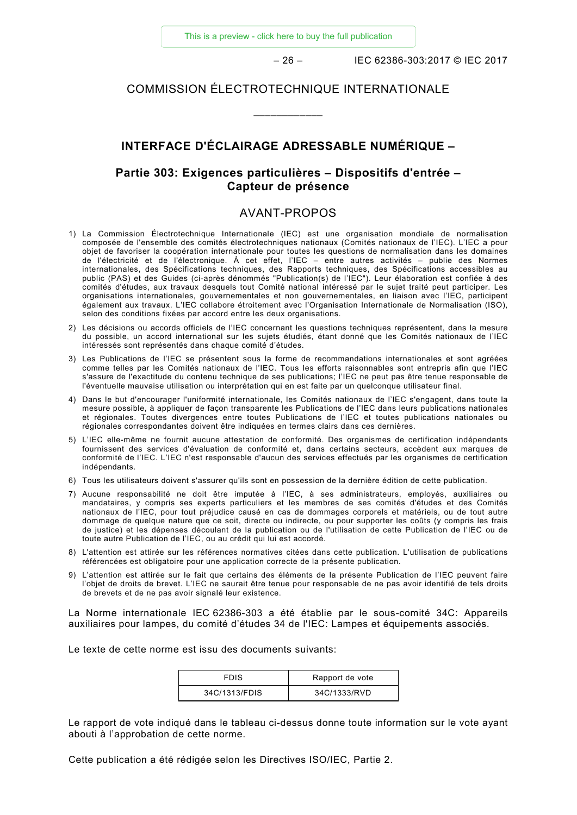[This is a preview - click here to buy the full publication](https://webstore.iec.ch/publication/34288&preview=1)

– 26 – IEC 62386-303:2017 © IEC 2017

#### COMMISSION ÉLECTROTECHNIQUE INTERNATIONALE

\_\_\_\_\_\_\_\_\_\_\_\_

#### **INTERFACE D'ÉCLAIRAGE ADRESSABLE NUMÉRIQUE –**

#### **Partie 303: Exigences particulières – Dispositifs d'entrée – Capteur de présence**

#### AVANT-PROPOS

- <span id="page-10-0"></span>1) La Commission Électrotechnique Internationale (IEC) est une organisation mondiale de normalisation composée de l'ensemble des comités électrotechniques nationaux (Comités nationaux de l'IEC). L'IEC a pour objet de favoriser la coopération internationale pour toutes les questions de normalisation dans les domaines de l'électricité et de l'électronique. À cet effet, l'IEC – entre autres activités – publie des Normes internationales, des Spécifications techniques, des Rapports techniques, des Spécifications accessibles au public (PAS) et des Guides (ci-après dénommés "Publication(s) de l'IEC"). Leur élaboration est confiée à des comités d'études, aux travaux desquels tout Comité national intéressé par le sujet traité peut participer. Les organisations internationales, gouvernementales et non gouvernementales, en liaison avec l'IEC, participent également aux travaux. L'IEC collabore étroitement avec l'Organisation Internationale de Normalisation (ISO), selon des conditions fixées par accord entre les deux organisations.
- 2) Les décisions ou accords officiels de l'IEC concernant les questions techniques représentent, dans la mesure du possible, un accord international sur les sujets étudiés, étant donné que les Comités nationaux de l'IEC intéressés sont représentés dans chaque comité d'études.
- 3) Les Publications de l'IEC se présentent sous la forme de recommandations internationales et sont agréées comme telles par les Comités nationaux de l'IEC. Tous les efforts raisonnables sont entrepris afin que l'IEC s'assure de l'exactitude du contenu technique de ses publications; l'IEC ne peut pas être tenue responsable de l'éventuelle mauvaise utilisation ou interprétation qui en est faite par un quelconque utilisateur final.
- 4) Dans le but d'encourager l'uniformité internationale, les Comités nationaux de l'IEC s'engagent, dans toute la mesure possible, à appliquer de façon transparente les Publications de l'IEC dans leurs publications nationales et régionales. Toutes divergences entre toutes Publications de l'IEC et toutes publications nationales ou régionales correspondantes doivent être indiquées en termes clairs dans ces dernières.
- 5) L'IEC elle-même ne fournit aucune attestation de conformité. Des organismes de certification indépendants fournissent des services d'évaluation de conformité et, dans certains secteurs, accèdent aux marques de conformité de l'IEC. L'IEC n'est responsable d'aucun des services effectués par les organismes de certification indépendants.
- 6) Tous les utilisateurs doivent s'assurer qu'ils sont en possession de la dernière édition de cette publication.
- 7) Aucune responsabilité ne doit être imputée à l'IEC, à ses administrateurs, employés, auxiliaires ou mandataires, y compris ses experts particuliers et les membres de ses comités d'études et des Comités nationaux de l'IEC, pour tout préjudice causé en cas de dommages corporels et matériels, ou de tout autre dommage de quelque nature que ce soit, directe ou indirecte, ou pour supporter les coûts (y compris les frais de justice) et les dépenses découlant de la publication ou de l'utilisation de cette Publication de l'IEC ou de toute autre Publication de l'IEC, ou au crédit qui lui est accordé.
- 8) L'attention est attirée sur les références normatives citées dans cette publication. L'utilisation de publications référencées est obligatoire pour une application correcte de la présente publication.
- 9) L'attention est attirée sur le fait que certains des éléments de la présente Publication de l'IEC peuvent faire l'objet de droits de brevet. L'IEC ne saurait être tenue pour responsable de ne pas avoir identifié de tels droits de brevets et de ne pas avoir signalé leur existence.

La Norme internationale IEC 62386-303 a été établie par le sous-comité 34C: Appareils auxiliaires pour lampes, du comité d'études 34 de l'IEC: Lampes et équipements associés.

Le texte de cette norme est issu des documents suivants:

| <b>FDIS</b>   | Rapport de vote |
|---------------|-----------------|
| 34C/1313/FDIS | 34C/1333/RVD    |

Le rapport de vote indiqué dans le tableau ci-dessus donne toute information sur le vote ayant abouti à l'approbation de cette norme.

Cette publication a été rédigée selon les Directives ISO/IEC, Partie 2.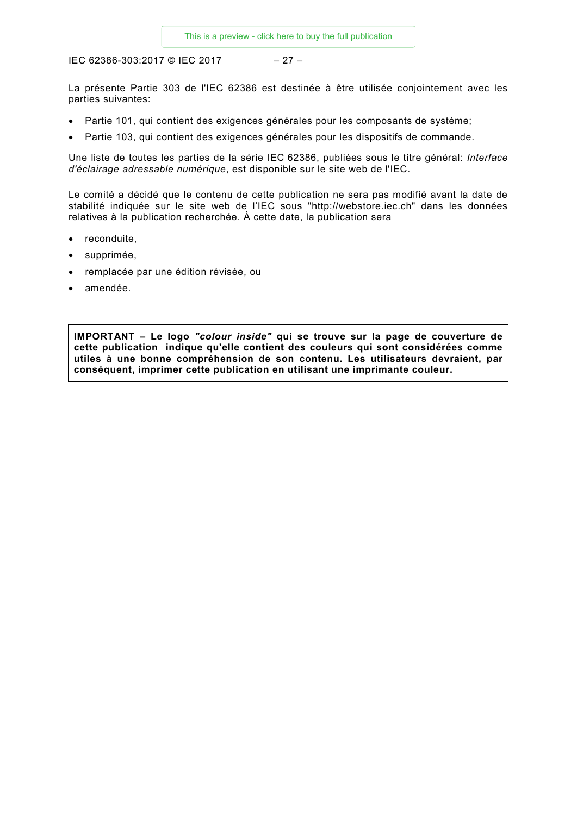IEC 62386-303:2017 © IEC 2017 – 27 –

La présente Partie 303 de l'IEC 62386 est destinée à être utilisée conjointement avec les parties suivantes:

- Partie 101, qui contient des exigences générales pour les composants de système;
- Partie 103, qui contient des exigences générales pour les dispositifs de commande.

Une liste de toutes les parties de la série IEC 62386, publiées sous le titre général: *Interface d'éclairage adressable numérique*, est disponible sur le site web de l'IEC.

Le comité a décidé que le contenu de cette publication ne sera pas modifié avant la date de stabilité indiquée sur le site web de l'IEC sous "http://webstore.iec.ch" dans les données relatives à la publication recherchée. À cette date, la publication sera

- reconduite,
- supprimée,
- remplacée par une édition révisée, ou
- amendée.

**IMPORTANT – Le logo** *"colour inside"* **qui se trouve sur la page de couverture de cette publication indique qu'elle contient des couleurs qui sont considérées comme utiles à une bonne compréhension de son contenu. Les utilisateurs devraient, par conséquent, imprimer cette publication en utilisant une imprimante couleur.**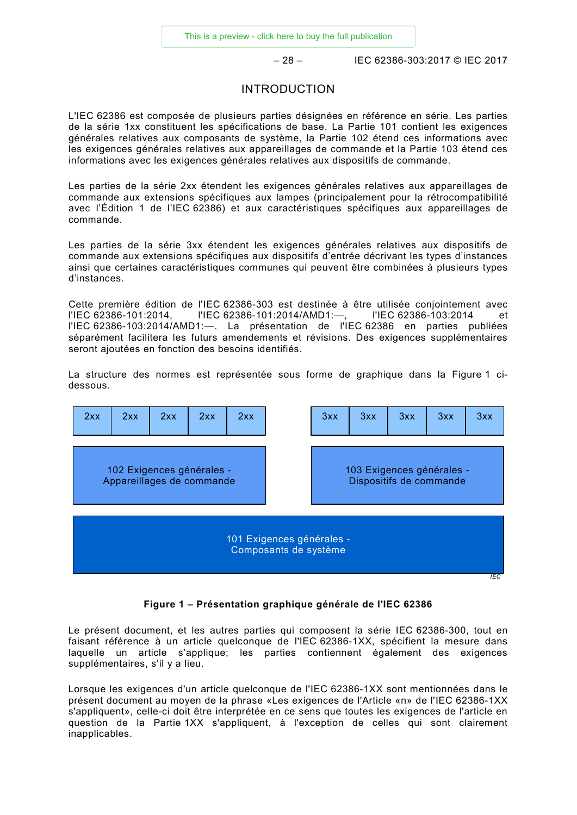– 28 – IEC 62386-303:2017 © IEC 2017

#### INTRODUCTION

<span id="page-12-0"></span>L'IEC 62386 est composée de plusieurs parties désignées en référence en série. Les parties de la série 1xx constituent les spécifications de base. La Partie 101 contient les exigences générales relatives aux composants de système, la Partie 102 étend ces informations avec les exigences générales relatives aux appareillages de commande et la Partie 103 étend ces informations avec les exigences générales relatives aux dispositifs de commande.

Les parties de la série 2xx étendent les exigences générales relatives aux appareillages de commande aux extensions spécifiques aux lampes (principalement pour la rétrocompatibilité avec l'Édition 1 de l'IEC 62386) et aux caractéristiques spécifiques aux appareillages de commande.

Les parties de la série 3xx étendent les exigences générales relatives aux dispositifs de commande aux extensions spécifiques aux dispositifs d'entrée décrivant les types d'instances ainsi que certaines caractéristiques communes qui peuvent être combinées à plusieurs types d'instances.

Cette première édition de l'IEC 62386-303 est destinée à être utilisée conjointement avec l'IEC 62386-101:2014, l'IEC 62386-101:2014/AMD1:—, l'IEC 62386-103:2014 et l'IEC 62386-103:2014/AMD1:—. La présentation de l'IEC 62386 en parties publiées séparément facilitera les futurs amendements et révisions. Des exigences supplémentaires seront ajoutées en fonction des besoins identifiés.

La structure des normes est représentée sous forme de graphique dans la [Figure 1](#page-12-1) cidessous.



#### **Figure 1 – Présentation graphique générale de l'IEC 62386**

<span id="page-12-1"></span>Le présent document, et les autres parties qui composent la série IEC 62386-300, tout en faisant référence à un article quelconque de l'IEC 62386-1XX, spécifient la mesure dans laquelle un article s'applique; les parties contiennent également des exigences supplémentaires, s'il y a lieu.

Lorsque les exigences d'un article quelconque de l'IEC 62386-1XX sont mentionnées dans le présent document au moyen de la phrase «Les exigences de l'Article «n» de l'IEC 62386-1XX s'appliquent», celle-ci doit être interprétée en ce sens que toutes les exigences de l'article en question de la Partie 1XX s'appliquent, à l'exception de celles qui sont clairement inapplicables.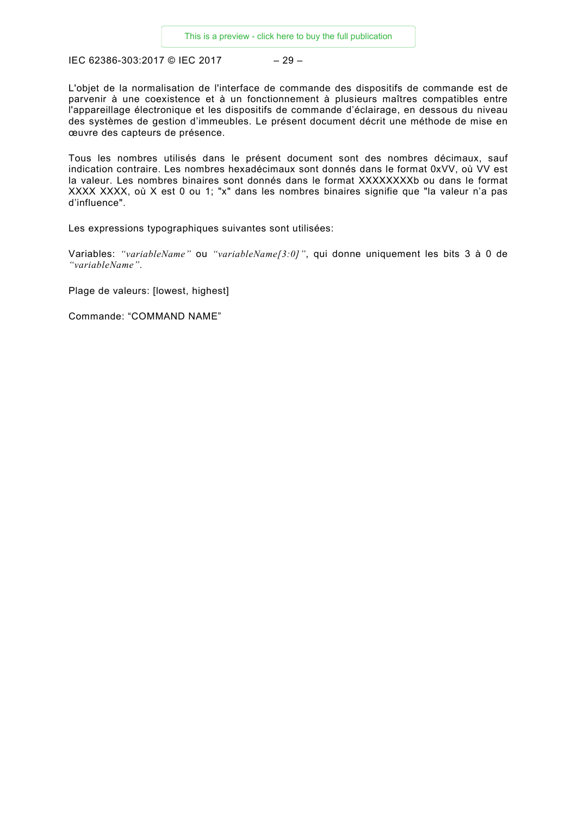IEC 62386-303:2017 © IEC 2017 – 29 –

L'objet de la normalisation de l'interface de commande des dispositifs de commande est de parvenir à une coexistence et à un fonctionnement à plusieurs maîtres compatibles entre l'appareillage électronique et les dispositifs de commande d'éclairage, en dessous du niveau des systèmes de gestion d'immeubles. Le présent document décrit une méthode de mise en œuvre des capteurs de présence.

Tous les nombres utilisés dans le présent document sont des nombres décimaux, sauf indication contraire. Les nombres hexadécimaux sont donnés dans le format 0xVV, où VV est la valeur. Les nombres binaires sont donnés dans le format XXXXXXXXb ou dans le format XXXX XXXX, où X est 0 ou 1; "x" dans les nombres binaires signifie que "la valeur n'a pas d'influence".

Les expressions typographiques suivantes sont utilisées:

Variables: *"variableName"* ou *"variableName[3:0]"*, qui donne uniquement les bits 3 à 0 de *"variableName"*.

Plage de valeurs: [lowest, highest]

Commande: "COMMAND NAME"